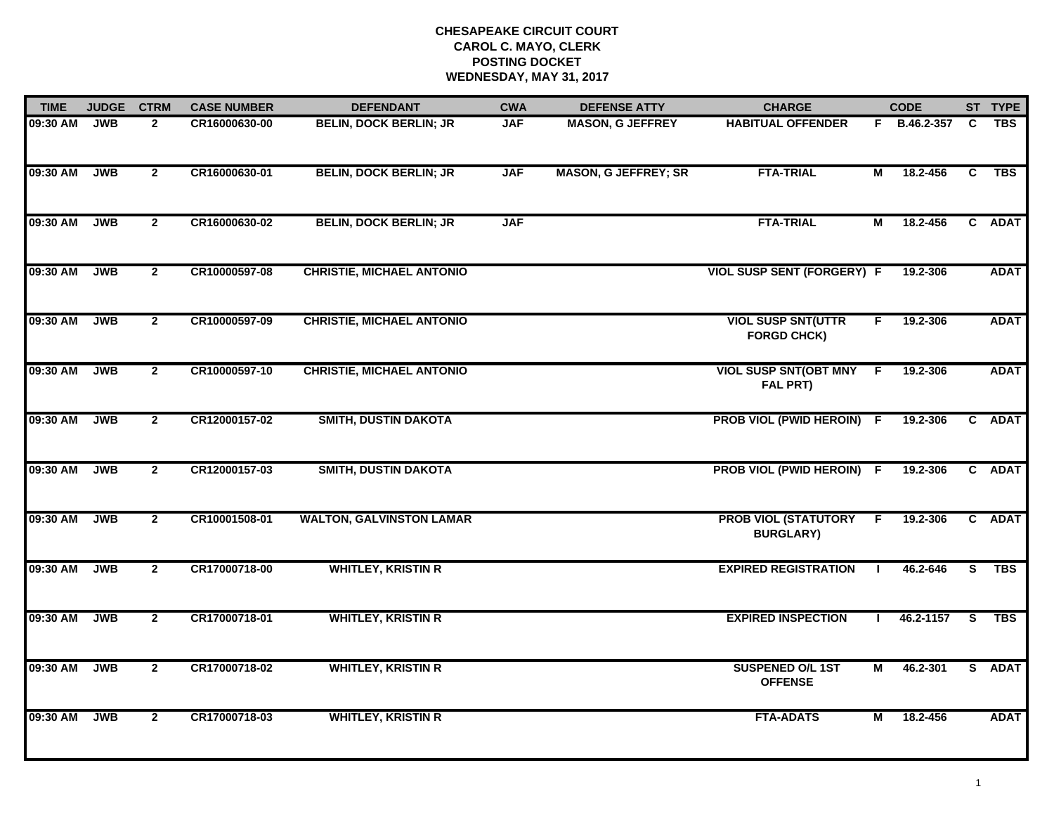## **CHESAPEAKE CIRCUIT COURT CAROL C. MAYO, CLERK POSTING DOCKETWEDNESDAY, MAY 31, 2017**

| <b>TIME</b> | <b>JUDGE</b> | <b>CTRM</b>    | <b>CASE NUMBER</b> | <b>DEFENDANT</b>                 | <b>CWA</b> | <b>DEFENSE ATTY</b>         | <b>CHARGE</b>                                   |    | <b>CODE</b>  |                         | ST TYPE     |
|-------------|--------------|----------------|--------------------|----------------------------------|------------|-----------------------------|-------------------------------------------------|----|--------------|-------------------------|-------------|
| 09:30 AM    | <b>JWB</b>   | $\mathbf{2}$   | CR16000630-00      | <b>BELIN, DOCK BERLIN; JR</b>    | <b>JAF</b> | <b>MASON, G JEFFREY</b>     | <b>HABITUAL OFFENDER</b>                        |    | F B.46.2-357 | C                       | <b>TBS</b>  |
| 09:30 AM    | <b>JWB</b>   | $\overline{2}$ | CR16000630-01      | <b>BELIN, DOCK BERLIN; JR</b>    | <b>JAF</b> | <b>MASON, G JEFFREY; SR</b> | <b>FTA-TRIAL</b>                                | М  | 18.2-456     | C                       | <b>TBS</b>  |
| 09:30 AM    | <b>JWB</b>   | $\overline{2}$ | CR16000630-02      | <b>BELIN, DOCK BERLIN; JR</b>    | <b>JAF</b> |                             | <b>FTA-TRIAL</b>                                | М  | 18.2-456     |                         | C ADAT      |
| 09:30 AM    | <b>JWB</b>   | $\overline{2}$ | CR10000597-08      | <b>CHRISTIE, MICHAEL ANTONIO</b> |            |                             | <b>VIOL SUSP SENT (FORGERY) F</b>               |    | 19.2-306     |                         | <b>ADAT</b> |
| 09:30 AM    | <b>JWB</b>   | $\mathbf{2}$   | CR10000597-09      | <b>CHRISTIE, MICHAEL ANTONIO</b> |            |                             | <b>VIOL SUSP SNT(UTTR</b><br><b>FORGD CHCK)</b> | F. | 19.2-306     |                         | <b>ADAT</b> |
| 09:30 AM    | <b>JWB</b>   | $\overline{2}$ | CR10000597-10      | <b>CHRISTIE, MICHAEL ANTONIO</b> |            |                             | VIOL SUSP SNT(OBT MNY F<br>FAL PRT)             |    | 19.2-306     |                         | <b>ADAT</b> |
| 09:30 AM    | <b>JWB</b>   | $\mathbf{2}$   | CR12000157-02      | <b>SMITH, DUSTIN DAKOTA</b>      |            |                             | PROB VIOL (PWID HEROIN) F                       |    | 19.2-306     |                         | C ADAT      |
| 09:30 AM    | <b>JWB</b>   | $\mathbf{2}$   | CR12000157-03      | <b>SMITH, DUSTIN DAKOTA</b>      |            |                             | PROB VIOL (PWID HEROIN) F                       |    | 19.2-306     |                         | C ADAT      |
| 09:30 AM    | <b>JWB</b>   | $\overline{2}$ | CR10001508-01      | <b>WALTON, GALVINSTON LAMAR</b>  |            |                             | <b>PROB VIOL (STATUTORY</b><br><b>BURGLARY)</b> | F. | 19.2-306     |                         | C ADAT      |
| 09:30 AM    | <b>JWB</b>   | $\overline{2}$ | CR17000718-00      | <b>WHITLEY, KRISTIN R</b>        |            |                             | <b>EXPIRED REGISTRATION</b>                     | -1 | 46.2-646     | S.                      | <b>TBS</b>  |
| 09:30 AM    | <b>JWB</b>   | $\overline{2}$ | CR17000718-01      | <b>WHITLEY, KRISTIN R</b>        |            |                             | <b>EXPIRED INSPECTION</b>                       |    | 46.2-1157    | $\overline{\mathbf{s}}$ | <b>TBS</b>  |
| 09:30 AM    | <b>JWB</b>   | $\overline{2}$ | CR17000718-02      | <b>WHITLEY, KRISTIN R</b>        |            |                             | <b>SUSPENED O/L 1ST</b><br><b>OFFENSE</b>       | М  | 46.2-301     |                         | S ADAT      |
| 09:30 AM    | <b>JWB</b>   | $\mathbf{2}$   | CR17000718-03      | <b>WHITLEY, KRISTIN R</b>        |            |                             | <b>FTA-ADATS</b>                                | М  | 18.2-456     |                         | <b>ADAT</b> |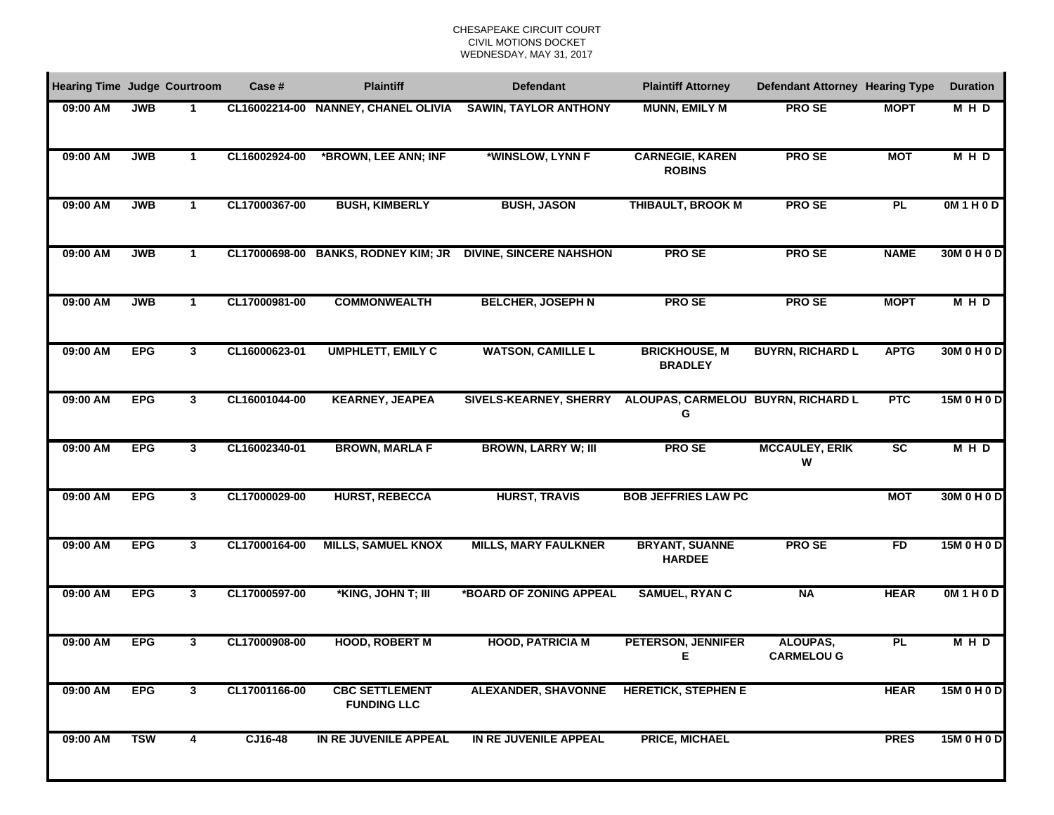## CHESAPEAKE CIRCUIT COURTCIVIL MOTIONS DOCKET WEDNESDAY, MAY 31, 2017

| <b>Hearing Time Judge Courtroom</b> |            |              | Case #        | <b>Plaintiff</b>                            | <b>Defendant</b>                        | <b>Plaintiff Attorney</b>               | <b>Defendant Attorney Hearing Type</b> |                 | <b>Duration</b> |
|-------------------------------------|------------|--------------|---------------|---------------------------------------------|-----------------------------------------|-----------------------------------------|----------------------------------------|-----------------|-----------------|
| 09:00 AM                            | <b>JWB</b> | 1            |               | CL16002214-00 NANNEY, CHANEL OLIVIA         | <b>SAWIN, TAYLOR ANTHONY</b>            | <b>MUNN, EMILY M</b>                    | <b>PROSE</b>                           | <b>MOPT</b>     | MHD             |
| 09:00 AM                            | <b>JWB</b> | $\mathbf{1}$ | CL16002924-00 | *BROWN, LEE ANN; INF                        | *WINSLOW, LYNN F                        | <b>CARNEGIE, KAREN</b><br><b>ROBINS</b> | <b>PROSE</b>                           | <b>MOT</b>      | <b>MHD</b>      |
| 09:00 AM                            | <b>JWB</b> | 1            | CL17000367-00 | <b>BUSH, KIMBERLY</b>                       | <b>BUSH, JASON</b>                      | <b>THIBAULT, BROOK M</b>                | <b>PROSE</b>                           | PL              | OM1H0D          |
| 09:00 AM                            | <b>JWB</b> | 1            |               | CL17000698-00 BANKS, RODNEY KIM; JR         | <b>DIVINE, SINCERE NAHSHON</b>          | <b>PROSE</b>                            | <b>PROSE</b>                           | <b>NAME</b>     | 30M 0 H 0 D     |
| 09:00 AM                            | <b>JWB</b> | $\mathbf{1}$ | CL17000981-00 | <b>COMMONWEALTH</b>                         | <b>BELCHER, JOSEPH N</b>                | <b>PROSE</b>                            | <b>PROSE</b>                           | <b>MOPT</b>     | M H D           |
| 09:00 AM                            | <b>EPG</b> | 3            | CL16000623-01 | <b>UMPHLETT, EMILY C</b>                    | <b>WATSON, CAMILLE L</b>                | <b>BRICKHOUSE, M</b><br><b>BRADLEY</b>  | <b>BUYRN, RICHARD L</b>                | <b>APTG</b>     | 30M 0 H 0 D     |
| 09:00 AM                            | <b>EPG</b> | 3            | CL16001044-00 | <b>KEARNEY, JEAPEA</b>                      | <b>SIVELS-KEARNEY, SHERRY</b>           | ALOUPAS, CARMELOU BUYRN, RICHARD L<br>G |                                        | <b>PTC</b>      | 15M 0 H 0 D     |
| 09:00 AM                            | <b>EPG</b> | $\mathbf{3}$ | CL16002340-01 | <b>BROWN, MARLA F</b>                       | <b>BROWN, LARRY W; III</b>              | <b>PROSE</b>                            | <b>MCCAULEY, ERIK</b><br>W             | $\overline{SC}$ | <b>MHD</b>      |
| 09:00 AM                            | <b>EPG</b> | 3            | CL17000029-00 | <b>HURST, REBECCA</b>                       | <b>HURST, TRAVIS</b>                    | <b>BOB JEFFRIES LAW PC</b>              |                                        | <b>MOT</b>      | 30M 0 H 0 D     |
| 09:00 AM                            | <b>EPG</b> | $\mathbf{3}$ | CL17000164-00 | <b>MILLS, SAMUEL KNOX</b>                   | <b>MILLS, MARY FAULKNER</b>             | <b>BRYANT, SUANNE</b><br><b>HARDEE</b>  | <b>PROSE</b>                           | <b>FD</b>       | 15M 0 H 0 D     |
| 09:00 AM                            | <b>EPG</b> | $\mathbf{3}$ | CL17000597-00 | *KING, JOHN T; III                          | *BOARD OF ZONING APPEAL                 | <b>SAMUEL, RYAN C</b>                   | <b>NA</b>                              | <b>HEAR</b>     | OM1H0D          |
| 09:00 AM                            | <b>EPG</b> | 3            | CL17000908-00 | <b>HOOD, ROBERT M</b>                       | <b>HOOD, PATRICIA M</b>                 | <b>PETERSON, JENNIFER</b><br>Е          | ALOUPAS,<br><b>CARMELOU G</b>          | <b>PL</b>       | <b>MHD</b>      |
| 09:00 AM                            | <b>EPG</b> | 3            | CL17001166-00 | <b>CBC SETTLEMENT</b><br><b>FUNDING LLC</b> | ALEXANDER, SHAVONNE HERETICK, STEPHEN E |                                         |                                        | <b>HEAR</b>     | 15M 0 H 0 D     |
| 09:00 AM                            | <b>TSW</b> | 4            | CJ16-48       | IN RE JUVENILE APPEAL                       | IN RE JUVENILE APPEAL                   | <b>PRICE, MICHAEL</b>                   |                                        | <b>PRES</b>     | 15M 0 H 0 D     |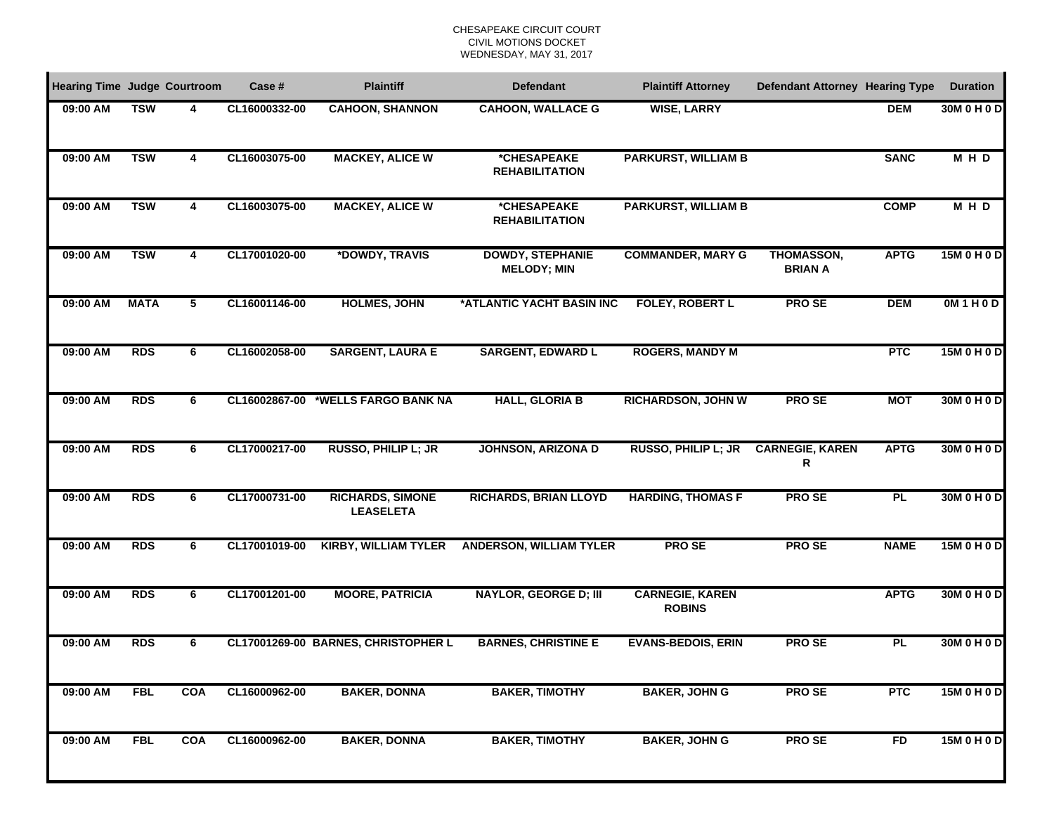## CHESAPEAKE CIRCUIT COURTCIVIL MOTIONS DOCKET WEDNESDAY, MAY 31, 2017

| <b>Hearing Time Judge Courtroom</b> |             |            | Case #        | <b>Plaintiff</b>                            | <b>Defendant</b>                              | <b>Plaintiff Attorney</b>               | Defendant Attorney Hearing Type     |             | <b>Duration</b> |
|-------------------------------------|-------------|------------|---------------|---------------------------------------------|-----------------------------------------------|-----------------------------------------|-------------------------------------|-------------|-----------------|
| 09:00 AM                            | <b>TSW</b>  | 4          | CL16000332-00 | <b>CAHOON, SHANNON</b>                      | <b>CAHOON, WALLACE G</b>                      | <b>WISE, LARRY</b>                      |                                     | <b>DEM</b>  | 30M 0 H 0 D     |
| 09:00 AM                            | <b>TSW</b>  | 4          | CL16003075-00 | <b>MACKEY, ALICE W</b>                      | *CHESAPEAKE<br><b>REHABILITATION</b>          | <b>PARKURST, WILLIAM B</b>              |                                     | <b>SANC</b> | <b>MHD</b>      |
| 09:00 AM                            | <b>TSW</b>  | 4          | CL16003075-00 | <b>MACKEY, ALICE W</b>                      | *CHESAPEAKE<br><b>REHABILITATION</b>          | <b>PARKURST, WILLIAM B</b>              |                                     | <b>COMP</b> | <b>MHD</b>      |
| 09:00 AM                            | <b>TSW</b>  | 4          | CL17001020-00 | *DOWDY, TRAVIS                              | <b>DOWDY, STEPHANIE</b><br><b>MELODY; MIN</b> | <b>COMMANDER, MARY G</b>                | <b>THOMASSON,</b><br><b>BRIAN A</b> | <b>APTG</b> | 15M 0 H 0 D     |
| 09:00 AM                            | <b>MATA</b> | 5          | CL16001146-00 | <b>HOLMES, JOHN</b>                         | *ATLANTIC YACHT BASIN INC                     | <b>FOLEY, ROBERT L</b>                  | <b>PROSE</b>                        | <b>DEM</b>  | OM1H0D          |
| 09:00 AM                            | <b>RDS</b>  | 6          | CL16002058-00 | <b>SARGENT, LAURA E</b>                     | <b>SARGENT, EDWARD L</b>                      | <b>ROGERS, MANDY M</b>                  |                                     | <b>PTC</b>  | 15M 0 H 0 D     |
| 09:00 AM                            | <b>RDS</b>  | 6          | CL16002867-00 | *WELLS FARGO BANK NA                        | <b>HALL, GLORIA B</b>                         | <b>RICHARDSON, JOHN W</b>               | <b>PROSE</b>                        | <b>MOT</b>  | 30M 0 H 0 D     |
| 09:00 AM                            | <b>RDS</b>  | 6          | CL17000217-00 | RUSSO, PHILIP L; JR                         | <b>JOHNSON, ARIZONA D</b>                     | <b>RUSSO, PHILIP L; JR</b>              | <b>CARNEGIE, KAREN</b><br>R         | <b>APTG</b> | 30M 0 H 0 D     |
| 09:00 AM                            | <b>RDS</b>  | 6          | CL17000731-00 | <b>RICHARDS, SIMONE</b><br><b>LEASELETA</b> | <b>RICHARDS, BRIAN LLOYD</b>                  | <b>HARDING, THOMAS F</b>                | <b>PROSE</b>                        | <b>PL</b>   | 30M 0 H 0 D     |
| 09:00 AM                            | <b>RDS</b>  | 6          | CL17001019-00 | <b>KIRBY, WILLIAM TYLER</b>                 | <b>ANDERSON, WILLIAM TYLER</b>                | <b>PROSE</b>                            | <b>PROSE</b>                        | <b>NAME</b> | 15M 0 H 0 D     |
| 09:00 AM                            | <b>RDS</b>  | 6          | CL17001201-00 | <b>MOORE, PATRICIA</b>                      | <b>NAYLOR, GEORGE D; III</b>                  | <b>CARNEGIE, KAREN</b><br><b>ROBINS</b> |                                     | <b>APTG</b> | 30M 0 H 0 D     |
| 09:00 AM                            | <b>RDS</b>  | 6          |               | CL17001269-00 BARNES, CHRISTOPHER L         | <b>BARNES, CHRISTINE E</b>                    | <b>EVANS-BEDOIS, ERIN</b>               | <b>PROSE</b>                        | PL          | 30M 0 H 0 D     |
| 09:00 AM                            | <b>FBL</b>  | <b>COA</b> | CL16000962-00 | <b>BAKER, DONNA</b>                         | <b>BAKER, TIMOTHY</b>                         | <b>BAKER, JOHN G</b>                    | <b>PROSE</b>                        | <b>PTC</b>  | 15M 0 H 0 D     |
| 09:00 AM                            | <b>FBL</b>  | <b>COA</b> | CL16000962-00 | <b>BAKER, DONNA</b>                         | <b>BAKER, TIMOTHY</b>                         | <b>BAKER, JOHN G</b>                    | <b>PROSE</b>                        | <b>FD</b>   | 15M 0 H 0 D     |